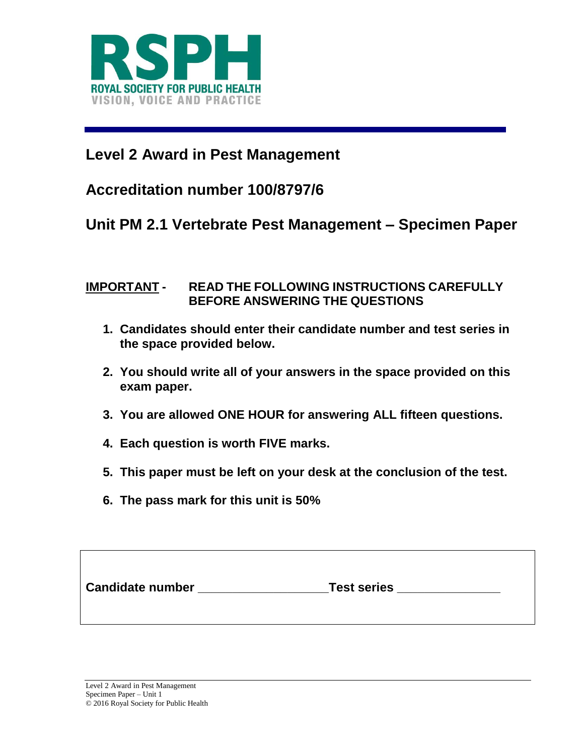

# **Level 2 Award in Pest Management**

## **Accreditation number 100/8797/6**

### **Unit PM 2.1 Vertebrate Pest Management – Specimen Paper**

### **IMPORTANT - READ THE FOLLOWING INSTRUCTIONS CAREFULLY BEFORE ANSWERING THE QUESTIONS**

- **1. Candidates should enter their candidate number and test series in the space provided below.**
- **2. You should write all of your answers in the space provided on this exam paper.**
- **3. You are allowed ONE HOUR for answering ALL fifteen questions.**
- **4. Each question is worth FIVE marks.**
- **5. This paper must be left on your desk at the conclusion of the test.**
- **6. The pass mark for this unit is 50%**

| <b>Candidate number</b> | <b>Test series</b> |  |
|-------------------------|--------------------|--|
|                         |                    |  |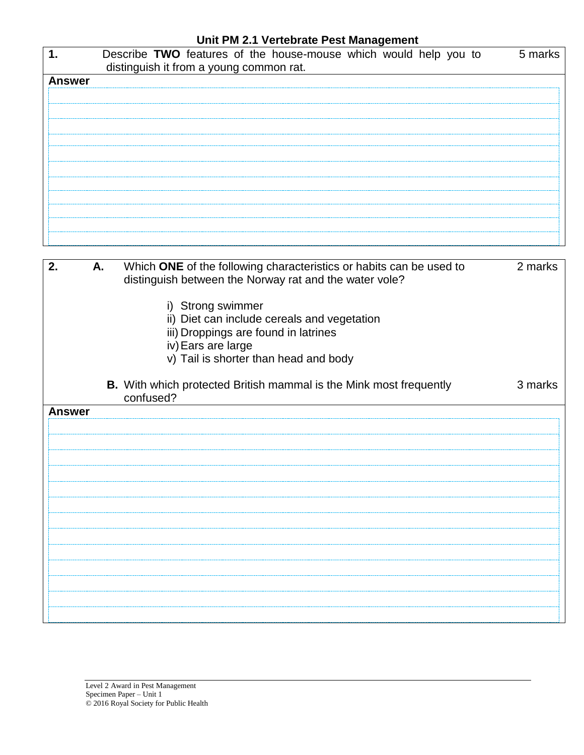### **Unit PM 2.1 Vertebrate Pest Management**

|               | Describe TWO features of the house-mouse which would help you to<br>distinguish it from a young common rat. | 5 marks |
|---------------|-------------------------------------------------------------------------------------------------------------|---------|
| <b>Answer</b> |                                                                                                             |         |
|               |                                                                                                             |         |
|               |                                                                                                             |         |
|               |                                                                                                             |         |
|               |                                                                                                             |         |
|               |                                                                                                             |         |
|               |                                                                                                             |         |
|               |                                                                                                             |         |
|               |                                                                                                             |         |
|               |                                                                                                             |         |
|               |                                                                                                             |         |

| 2.            | А. | Which ONE of the following characteristics or habits can be used to<br>distinguish between the Norway rat and the water vole?<br>i) Strong swimmer<br>ii) Diet can include cereals and vegetation<br>iii) Droppings are found in latrines<br>iv) Ears are large<br>v) Tail is shorter than head and body | 2 marks |
|---------------|----|----------------------------------------------------------------------------------------------------------------------------------------------------------------------------------------------------------------------------------------------------------------------------------------------------------|---------|
|               |    | <b>B.</b> With which protected British mammal is the Mink most frequently<br>confused?                                                                                                                                                                                                                   | 3 marks |
| <b>Answer</b> |    |                                                                                                                                                                                                                                                                                                          |         |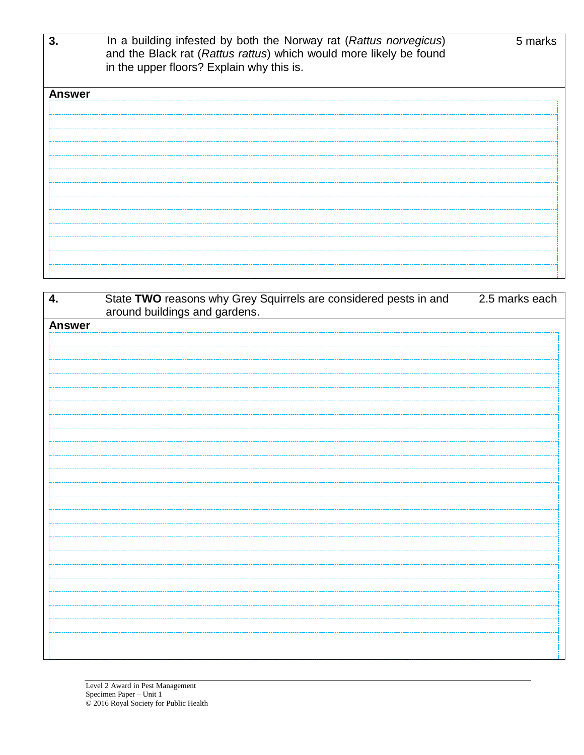| 3.            | In a building infested by both the Norway rat (Rattus norvegicus)<br>and the Black rat (Rattus rattus) which would more likely be found<br>in the upper floors? Explain why this is. | 5 marks |
|---------------|--------------------------------------------------------------------------------------------------------------------------------------------------------------------------------------|---------|
| <b>Answer</b> |                                                                                                                                                                                      |         |
|               |                                                                                                                                                                                      |         |
|               |                                                                                                                                                                                      |         |
|               |                                                                                                                                                                                      |         |
|               |                                                                                                                                                                                      |         |
|               |                                                                                                                                                                                      |         |
|               |                                                                                                                                                                                      |         |
|               |                                                                                                                                                                                      |         |
|               |                                                                                                                                                                                      |         |
|               |                                                                                                                                                                                      |         |
|               |                                                                                                                                                                                      |         |
|               |                                                                                                                                                                                      |         |
|               |                                                                                                                                                                                      |         |
|               |                                                                                                                                                                                      |         |

| 4.            | State TWO reasons why Grey Squirrels are considered pests in and<br>around buildings and gardens. | 2.5 marks each |
|---------------|---------------------------------------------------------------------------------------------------|----------------|
| <b>Answer</b> |                                                                                                   |                |
|               |                                                                                                   |                |
|               |                                                                                                   |                |
|               |                                                                                                   |                |
|               |                                                                                                   |                |
|               |                                                                                                   |                |
|               |                                                                                                   |                |
|               |                                                                                                   |                |
|               |                                                                                                   |                |
|               |                                                                                                   |                |
|               |                                                                                                   |                |
|               |                                                                                                   |                |
|               |                                                                                                   |                |
|               |                                                                                                   |                |
|               |                                                                                                   |                |
|               |                                                                                                   |                |
|               |                                                                                                   |                |
|               |                                                                                                   |                |
|               |                                                                                                   |                |
|               |                                                                                                   |                |
|               |                                                                                                   |                |
|               |                                                                                                   |                |
|               |                                                                                                   |                |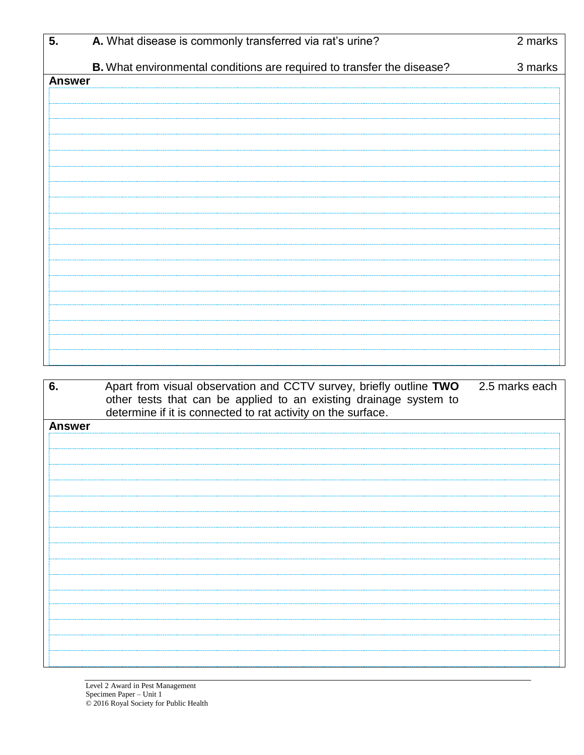| 5.            | A. What disease is commonly transferred via rat's urine?                                                                                | 2 marks        |
|---------------|-----------------------------------------------------------------------------------------------------------------------------------------|----------------|
|               | B. What environmental conditions are required to transfer the disease?                                                                  | 3 marks        |
| <b>Answer</b> |                                                                                                                                         |                |
|               |                                                                                                                                         |                |
|               |                                                                                                                                         |                |
|               |                                                                                                                                         |                |
|               |                                                                                                                                         |                |
|               |                                                                                                                                         |                |
|               |                                                                                                                                         |                |
|               |                                                                                                                                         |                |
|               |                                                                                                                                         |                |
|               |                                                                                                                                         |                |
|               |                                                                                                                                         |                |
|               |                                                                                                                                         |                |
|               |                                                                                                                                         |                |
|               |                                                                                                                                         |                |
|               |                                                                                                                                         |                |
|               |                                                                                                                                         |                |
|               |                                                                                                                                         |                |
|               |                                                                                                                                         |                |
| 6.            | Apart from visual observation and CCTV survey, briefly outline TWO<br>other tests that can be applied to an existing drainage system to | 2.5 marks each |
|               | determine if it is connected to rat activity on the surface.                                                                            |                |
| <b>Answer</b> |                                                                                                                                         |                |
|               |                                                                                                                                         |                |
|               |                                                                                                                                         |                |
|               |                                                                                                                                         |                |
|               |                                                                                                                                         |                |

|               | other tests that can be applied to an existing drainage system to<br>determine if it is connected to rat activity on the surface. |
|---------------|-----------------------------------------------------------------------------------------------------------------------------------|
| <b>Answer</b> |                                                                                                                                   |
|               |                                                                                                                                   |
|               |                                                                                                                                   |
|               |                                                                                                                                   |
|               |                                                                                                                                   |
|               |                                                                                                                                   |
|               |                                                                                                                                   |
|               |                                                                                                                                   |
|               |                                                                                                                                   |
|               |                                                                                                                                   |
|               |                                                                                                                                   |
|               |                                                                                                                                   |
|               |                                                                                                                                   |
|               |                                                                                                                                   |
|               |                                                                                                                                   |
|               |                                                                                                                                   |
|               |                                                                                                                                   |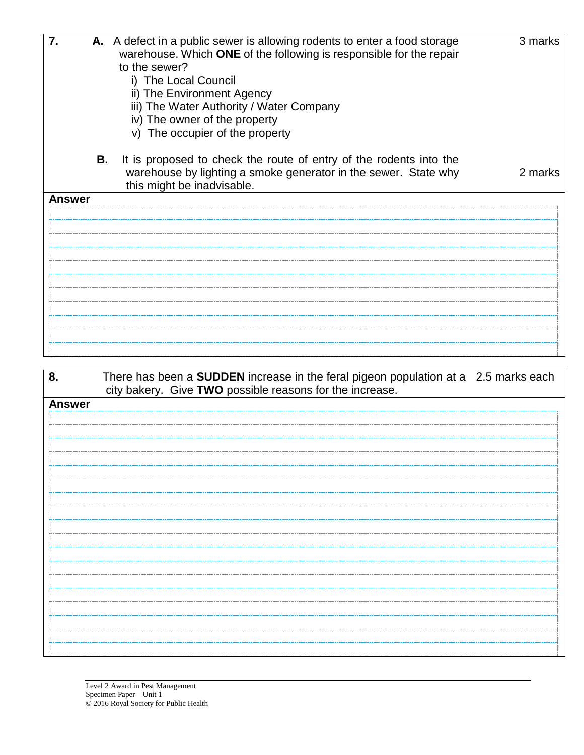| 7.            |    | A. A defect in a public sewer is allowing rodents to enter a food storage<br>warehouse. Which ONE of the following is responsible for the repair<br>to the sewer?<br>i) The Local Council<br>ii) The Environment Agency<br>iii) The Water Authority / Water Company | 3 marks |
|---------------|----|---------------------------------------------------------------------------------------------------------------------------------------------------------------------------------------------------------------------------------------------------------------------|---------|
|               |    | iv) The owner of the property<br>v) The occupier of the property                                                                                                                                                                                                    |         |
|               | В. | It is proposed to check the route of entry of the rodents into the<br>warehouse by lighting a smoke generator in the sewer. State why<br>this might be inadvisable.                                                                                                 | 2 marks |
| <b>Answer</b> |    |                                                                                                                                                                                                                                                                     |         |
|               |    |                                                                                                                                                                                                                                                                     |         |
|               |    |                                                                                                                                                                                                                                                                     |         |
|               |    |                                                                                                                                                                                                                                                                     |         |
|               |    |                                                                                                                                                                                                                                                                     |         |
|               |    |                                                                                                                                                                                                                                                                     |         |
|               |    |                                                                                                                                                                                                                                                                     |         |

| 8.            | There has been a <b>SUDDEN</b> increase in the feral pigeon population at a 2.5 marks each |  |
|---------------|--------------------------------------------------------------------------------------------|--|
|               | city bakery. Give TWO possible reasons for the increase.                                   |  |
| <b>Answer</b> |                                                                                            |  |
|               |                                                                                            |  |
|               |                                                                                            |  |
|               |                                                                                            |  |
|               |                                                                                            |  |
|               |                                                                                            |  |
|               |                                                                                            |  |
|               |                                                                                            |  |
|               |                                                                                            |  |
|               |                                                                                            |  |
|               |                                                                                            |  |
|               |                                                                                            |  |
|               |                                                                                            |  |
|               |                                                                                            |  |
|               |                                                                                            |  |
|               |                                                                                            |  |
|               |                                                                                            |  |
|               |                                                                                            |  |
|               |                                                                                            |  |
|               |                                                                                            |  |
|               |                                                                                            |  |
|               |                                                                                            |  |
|               |                                                                                            |  |
|               |                                                                                            |  |
|               |                                                                                            |  |
|               |                                                                                            |  |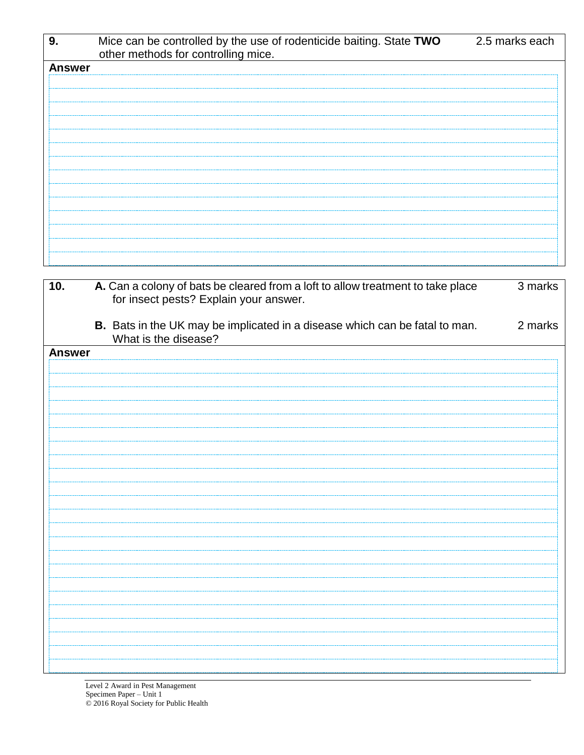| 9.            | Mice can be controlled by the use of rodenticide baiting. State TWO<br>other methods for controlling mice. | 2.5 marks each |
|---------------|------------------------------------------------------------------------------------------------------------|----------------|
| <b>Answer</b> |                                                                                                            |                |
|               |                                                                                                            |                |
|               |                                                                                                            |                |
|               |                                                                                                            |                |
|               |                                                                                                            |                |
|               |                                                                                                            |                |
|               |                                                                                                            |                |
|               |                                                                                                            |                |
|               |                                                                                                            |                |
|               |                                                                                                            |                |
|               |                                                                                                            |                |
|               |                                                                                                            |                |
|               |                                                                                                            |                |

| 10.           | A. Can a colony of bats be cleared from a loft to allow treatment to take place<br>for insect pests? Explain your answer. | 3 marks |
|---------------|---------------------------------------------------------------------------------------------------------------------------|---------|
|               | B. Bats in the UK may be implicated in a disease which can be fatal to man.<br>What is the disease?                       | 2 marks |
| <b>Answer</b> |                                                                                                                           |         |
|               |                                                                                                                           |         |
|               |                                                                                                                           |         |
|               |                                                                                                                           |         |
|               |                                                                                                                           |         |
|               |                                                                                                                           |         |
|               |                                                                                                                           |         |
|               |                                                                                                                           |         |
|               |                                                                                                                           |         |
|               |                                                                                                                           |         |
|               |                                                                                                                           |         |
|               |                                                                                                                           |         |
|               |                                                                                                                           |         |
|               |                                                                                                                           |         |
|               |                                                                                                                           |         |
|               |                                                                                                                           |         |
|               |                                                                                                                           |         |
|               |                                                                                                                           |         |
|               |                                                                                                                           |         |
|               |                                                                                                                           |         |
|               |                                                                                                                           |         |
|               |                                                                                                                           |         |
|               |                                                                                                                           |         |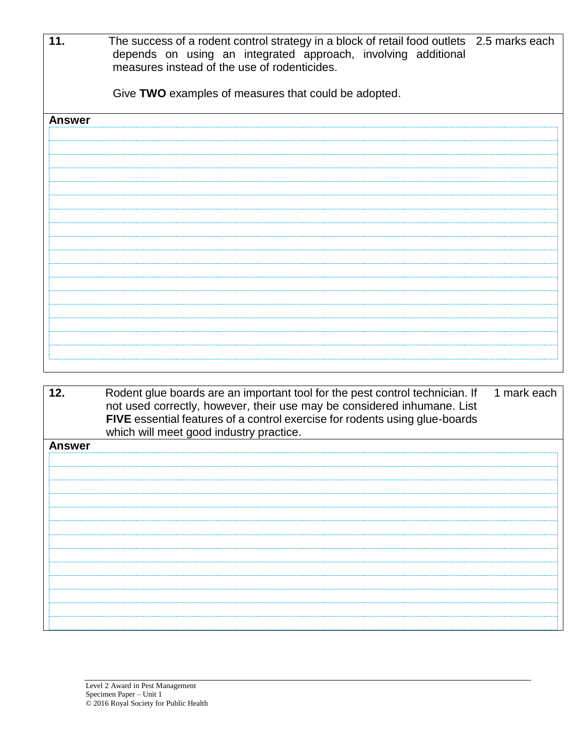| 11.           | The success of a rodent control strategy in a block of retail food outlets 2.5 marks each<br>depends on using an integrated approach, involving additional<br>measures instead of the use of rodenticides.<br>Give TWO examples of measures that could be adopted. |
|---------------|--------------------------------------------------------------------------------------------------------------------------------------------------------------------------------------------------------------------------------------------------------------------|
| <b>Answer</b> |                                                                                                                                                                                                                                                                    |
|               |                                                                                                                                                                                                                                                                    |
|               |                                                                                                                                                                                                                                                                    |
|               |                                                                                                                                                                                                                                                                    |
|               |                                                                                                                                                                                                                                                                    |
|               |                                                                                                                                                                                                                                                                    |
|               |                                                                                                                                                                                                                                                                    |
|               |                                                                                                                                                                                                                                                                    |
|               |                                                                                                                                                                                                                                                                    |
|               |                                                                                                                                                                                                                                                                    |
|               |                                                                                                                                                                                                                                                                    |
|               |                                                                                                                                                                                                                                                                    |
|               |                                                                                                                                                                                                                                                                    |
|               |                                                                                                                                                                                                                                                                    |
|               |                                                                                                                                                                                                                                                                    |
|               |                                                                                                                                                                                                                                                                    |
|               |                                                                                                                                                                                                                                                                    |
|               |                                                                                                                                                                                                                                                                    |

| 12.           | Rodent glue boards are an important tool for the pest control technician. If<br>not used correctly, however, their use may be considered inhumane. List<br>FIVE essential features of a control exercise for rodents using glue-boards<br>which will meet good industry practice. | 1 mark each |
|---------------|-----------------------------------------------------------------------------------------------------------------------------------------------------------------------------------------------------------------------------------------------------------------------------------|-------------|
| <b>Answer</b> |                                                                                                                                                                                                                                                                                   |             |
|               |                                                                                                                                                                                                                                                                                   |             |
|               |                                                                                                                                                                                                                                                                                   |             |
|               |                                                                                                                                                                                                                                                                                   |             |
|               |                                                                                                                                                                                                                                                                                   |             |
|               |                                                                                                                                                                                                                                                                                   |             |
|               |                                                                                                                                                                                                                                                                                   |             |
|               |                                                                                                                                                                                                                                                                                   |             |
|               |                                                                                                                                                                                                                                                                                   |             |
|               |                                                                                                                                                                                                                                                                                   |             |
|               |                                                                                                                                                                                                                                                                                   |             |
|               |                                                                                                                                                                                                                                                                                   |             |
|               |                                                                                                                                                                                                                                                                                   |             |
|               |                                                                                                                                                                                                                                                                                   |             |
|               |                                                                                                                                                                                                                                                                                   |             |
|               |                                                                                                                                                                                                                                                                                   |             |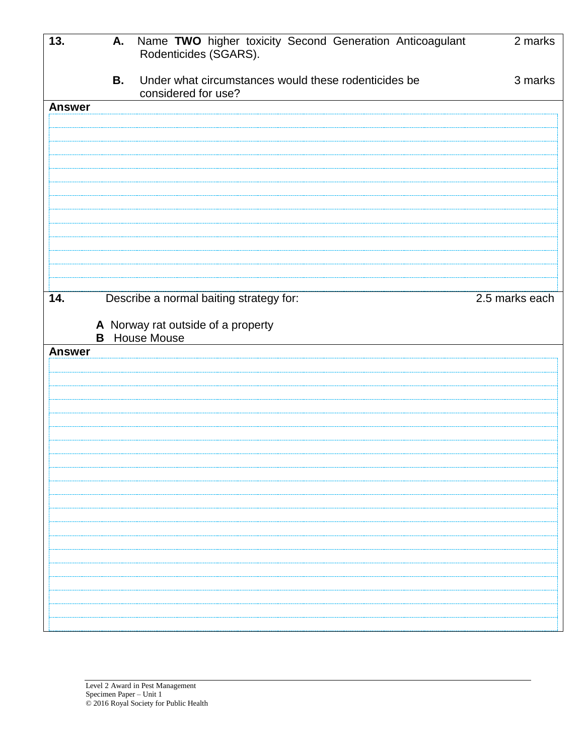| 13.           | А.        | Name TWO higher toxicity Second Generation Anticoagulant<br>Rodenticides (SGARS). | $2$ marks      |
|---------------|-----------|-----------------------------------------------------------------------------------|----------------|
|               | <b>B.</b> | Under what circumstances would these rodenticides be<br>considered for use?       | 3 marks        |
| <b>Answer</b> |           |                                                                                   |                |
|               |           |                                                                                   |                |
|               |           |                                                                                   |                |
|               |           |                                                                                   |                |
|               |           |                                                                                   |                |
|               |           |                                                                                   |                |
|               |           |                                                                                   |                |
|               |           |                                                                                   |                |
|               |           |                                                                                   |                |
|               |           |                                                                                   |                |
|               |           |                                                                                   |                |
| 14.           |           | Describe a normal baiting strategy for:                                           | 2.5 marks each |
|               |           | A Norway rat outside of a property                                                |                |
|               |           | <b>B</b> House Mouse                                                              |                |
| <b>Answer</b> |           |                                                                                   |                |
|               |           |                                                                                   |                |
|               |           |                                                                                   |                |
|               |           |                                                                                   |                |
|               |           |                                                                                   |                |
|               |           |                                                                                   |                |
|               |           |                                                                                   |                |
|               |           |                                                                                   |                |
|               |           |                                                                                   |                |
|               |           |                                                                                   |                |
|               |           |                                                                                   |                |
|               |           |                                                                                   |                |
|               |           |                                                                                   |                |
|               |           |                                                                                   |                |
|               |           |                                                                                   |                |
|               |           |                                                                                   |                |
|               |           |                                                                                   |                |